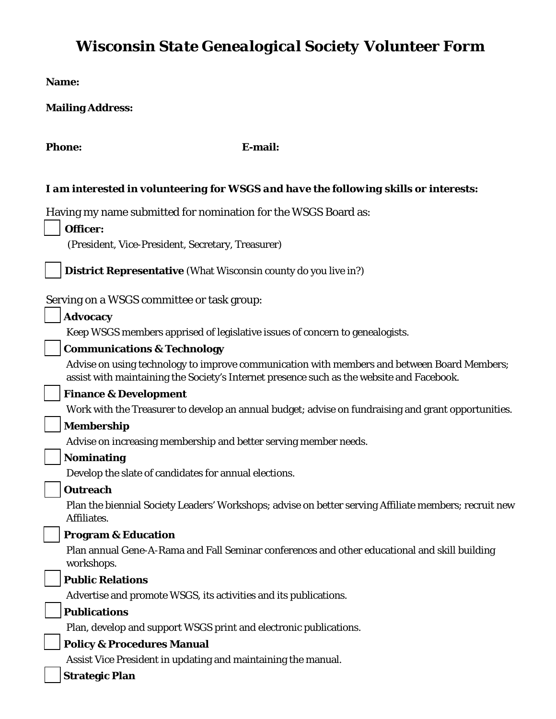# *Wisconsin State Genealogical Society Volunteer Form*

**Name:** 

**Mailing Address:** 

Phone: E-mail:

### *I am interested in volunteering for WSGS and have the following skills or interests:*

Having my name submitted for nomination for the WSGS Board as:

| Officer:                                                                                                                                                                                 |
|------------------------------------------------------------------------------------------------------------------------------------------------------------------------------------------|
| (President, Vice-President, Secretary, Treasurer)                                                                                                                                        |
| <b>District Representative</b> (What Wisconsin county do you live in?)                                                                                                                   |
| Serving on a WSGS committee or task group:                                                                                                                                               |
| <b>Advocacy</b>                                                                                                                                                                          |
| Keep WSGS members apprised of legislative issues of concern to genealogists.                                                                                                             |
| <b>Communications &amp; Technology</b>                                                                                                                                                   |
| Advise on using technology to improve communication with members and between Board Members;<br>assist with maintaining the Society's Internet presence such as the website and Facebook. |
| <b>Finance &amp; Development</b>                                                                                                                                                         |
| Work with the Treasurer to develop an annual budget; advise on fundraising and grant opportunities.                                                                                      |
| <b>Membership</b>                                                                                                                                                                        |
| Advise on increasing membership and better serving member needs.                                                                                                                         |
| <b>Nominating</b>                                                                                                                                                                        |
| Develop the slate of candidates for annual elections.                                                                                                                                    |
| <b>Outreach</b>                                                                                                                                                                          |

Plan the biennial Society Leaders' Workshops; advise on better serving Affiliate members; recruit new Affiliates.

## ☐ **Program & Education**

Plan annual Gene-A-Rama and Fall Seminar conferences and other educational and skill building workshops.

### ☐ **Public Relations**

Advertise and promote WSGS, its activities and its publications.

#### ☐ **Publications**

Plan, develop and support WSGS print and electronic publications.

## ☐ **Policy & Procedures Manual**

Assist Vice President in updating and maintaining the manual.

☐ **Strategic Plan**